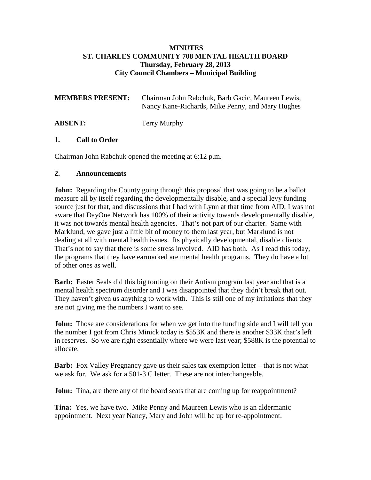### **MINUTES ST. CHARLES COMMUNITY 708 MENTAL HEALTH BOARD Thursday, February 28, 2013 City Council Chambers – Municipal Building**

| <b>MEMBERS PRESENT:</b> | Chairman John Rabchuk, Barb Gacic, Maureen Lewis,<br>Nancy Kane-Richards, Mike Penny, and Mary Hughes |
|-------------------------|-------------------------------------------------------------------------------------------------------|
| <b>ABSENT:</b>          | Terry Murphy                                                                                          |

### **1. Call to Order**

Chairman John Rabchuk opened the meeting at 6:12 p.m.

### **2. Announcements**

**John:** Regarding the County going through this proposal that was going to be a ballot measure all by itself regarding the developmentally disable, and a special levy funding source just for that, and discussions that I had with Lynn at that time from AID, I was not aware that DayOne Network has 100% of their activity towards developmentally disable, it was not towards mental health agencies. That's not part of our charter. Same with Marklund, we gave just a little bit of money to them last year, but Marklund is not dealing at all with mental health issues. Its physically developmental, disable clients. That's not to say that there is some stress involved. AID has both. As I read this today, the programs that they have earmarked are mental health programs. They do have a lot of other ones as well.

**Barb:** Easter Seals did this big touting on their Autism program last year and that is a mental health spectrum disorder and I was disappointed that they didn't break that out. They haven't given us anything to work with. This is still one of my irritations that they are not giving me the numbers I want to see.

**John:** Those are considerations for when we get into the funding side and I will tell you the number I got from Chris Minick today is \$553K and there is another \$33K that's left in reserves. So we are right essentially where we were last year; \$588K is the potential to allocate.

**Barb:** Fox Valley Pregnancy gave us their sales tax exemption letter – that is not what we ask for. We ask for a 501-3 C letter. These are not interchangeable.

**John:** Tina, are there any of the board seats that are coming up for reappointment?

**Tina:** Yes, we have two. Mike Penny and Maureen Lewis who is an aldermanic appointment. Next year Nancy, Mary and John will be up for re-appointment.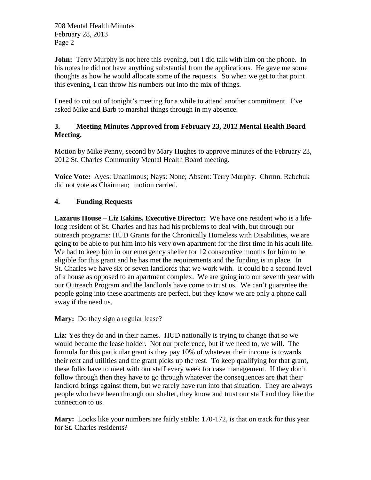**John:** Terry Murphy is not here this evening, but I did talk with him on the phone. In his notes he did not have anything substantial from the applications. He gave me some thoughts as how he would allocate some of the requests. So when we get to that point this evening, I can throw his numbers out into the mix of things.

I need to cut out of tonight's meeting for a while to attend another commitment. I've asked Mike and Barb to marshal things through in my absence.

## **3. Meeting Minutes Approved from February 23, 2012 Mental Health Board Meeting.**

Motion by Mike Penny, second by Mary Hughes to approve minutes of the February 23, 2012 St. Charles Community Mental Health Board meeting.

**Voice Vote:** Ayes: Unanimous; Nays: None; Absent: Terry Murphy. Chrmn. Rabchuk did not vote as Chairman; motion carried.

# **4. Funding Requests**

**Lazarus House – Liz Eakins, Executive Director:** We have one resident who is a lifelong resident of St. Charles and has had his problems to deal with, but through our outreach programs: HUD Grants for the Chronically Homeless with Disabilities, we are going to be able to put him into his very own apartment for the first time in his adult life. We had to keep him in our emergency shelter for 12 consecutive months for him to be eligible for this grant and he has met the requirements and the funding is in place. In St. Charles we have six or seven landlords that we work with. It could be a second level of a house as opposed to an apartment complex. We are going into our seventh year with our Outreach Program and the landlords have come to trust us. We can't guarantee the people going into these apartments are perfect, but they know we are only a phone call away if the need us.

Mary: Do they sign a regular lease?

Liz: Yes they do and in their names. HUD nationally is trying to change that so we would become the lease holder. Not our preference, but if we need to, we will. The formula for this particular grant is they pay 10% of whatever their income is towards their rent and utilities and the grant picks up the rest. To keep qualifying for that grant, these folks have to meet with our staff every week for case management. If they don't follow through then they have to go through whatever the consequences are that their landlord brings against them, but we rarely have run into that situation. They are always people who have been through our shelter, they know and trust our staff and they like the connection to us.

**Mary:** Looks like your numbers are fairly stable: 170-172, is that on track for this year for St. Charles residents?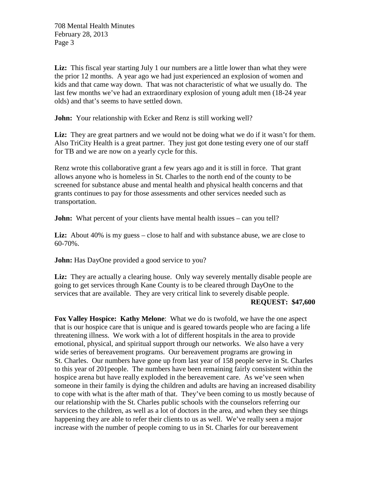Liz: This fiscal year starting July 1 our numbers are a little lower than what they were the prior 12 months. A year ago we had just experienced an explosion of women and kids and that came way down. That was not characteristic of what we usually do. The last few months we've had an extraordinary explosion of young adult men (18-24 year olds) and that's seems to have settled down.

**John:** Your relationship with Ecker and Renz is still working well?

Liz: They are great partners and we would not be doing what we do if it wasn't for them. Also TriCity Health is a great partner. They just got done testing every one of our staff for TB and we are now on a yearly cycle for this.

Renz wrote this collaborative grant a few years ago and it is still in force. That grant allows anyone who is homeless in St. Charles to the north end of the county to be screened for substance abuse and mental health and physical health concerns and that grants continues to pay for those assessments and other services needed such as transportation.

**John:** What percent of your clients have mental health issues – can you tell?

**Liz:** About 40% is my guess – close to half and with substance abuse, we are close to 60-70%.

**John:** Has DayOne provided a good service to you?

Liz: They are actually a clearing house. Only way severely mentally disable people are going to get services through Kane County is to be cleared through DayOne to the services that are available. They are very critical link to severely disable people. **REQUEST: \$47,600**

**Fox Valley Hospice: Kathy Melone**: What we do is twofold, we have the one aspect that is our hospice care that is unique and is geared towards people who are facing a life threatening illness. We work with a lot of different hospitals in the area to provide emotional, physical, and spiritual support through our networks. We also have a very wide series of bereavement programs. Our bereavement programs are growing in St. Charles. Our numbers have gone up from last year of 158 people serve in St. Charles to this year of 201people. The numbers have been remaining fairly consistent within the hospice arena but have really exploded in the bereavement care. As we've seen when someone in their family is dying the children and adults are having an increased disability to cope with what is the after math of that. They've been coming to us mostly because of our relationship with the St. Charles public schools with the counselors referring our services to the children, as well as a lot of doctors in the area, and when they see things happening they are able to refer their clients to us as well. We've really seen a major increase with the number of people coming to us in St. Charles for our bereavement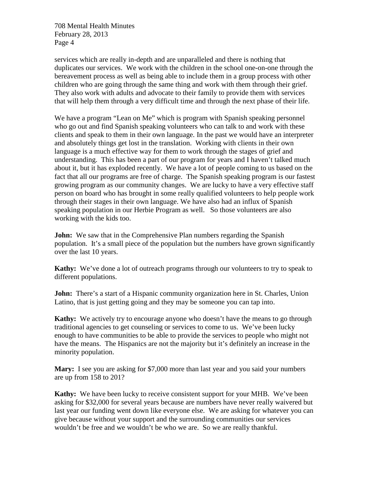services which are really in-depth and are unparalleled and there is nothing that duplicates our services. We work with the children in the school one-on-one through the bereavement process as well as being able to include them in a group process with other children who are going through the same thing and work with them through their grief. They also work with adults and advocate to their family to provide them with services that will help them through a very difficult time and through the next phase of their life.

We have a program "Lean on Me" which is program with Spanish speaking personnel who go out and find Spanish speaking volunteers who can talk to and work with these clients and speak to them in their own language. In the past we would have an interpreter and absolutely things get lost in the translation. Working with clients in their own language is a much effective way for them to work through the stages of grief and understanding. This has been a part of our program for years and I haven't talked much about it, but it has exploded recently. We have a lot of people coming to us based on the fact that all our programs are free of charge. The Spanish speaking program is our fastest growing program as our community changes. We are lucky to have a very effective staff person on board who has brought in some really qualified volunteers to help people work through their stages in their own language. We have also had an influx of Spanish speaking population in our Herbie Program as well. So those volunteers are also working with the kids too.

**John:** We saw that in the Comprehensive Plan numbers regarding the Spanish population. It's a small piece of the population but the numbers have grown significantly over the last 10 years.

**Kathy:** We've done a lot of outreach programs through our volunteers to try to speak to different populations.

**John:** There's a start of a Hispanic community organization here in St. Charles, Union Latino, that is just getting going and they may be someone you can tap into.

**Kathy:** We actively try to encourage anyone who doesn't have the means to go through traditional agencies to get counseling or services to come to us. We've been lucky enough to have communities to be able to provide the services to people who might not have the means. The Hispanics are not the majority but it's definitely an increase in the minority population.

**Mary:** I see you are asking for \$7,000 more than last year and you said your numbers are up from 158 to 201?

**Kathy:** We have been lucky to receive consistent support for your MHB. We've been asking for \$32,000 for several years because are numbers have never really waivered but last year our funding went down like everyone else. We are asking for whatever you can give because without your support and the surrounding communities our services wouldn't be free and we wouldn't be who we are. So we are really thankful.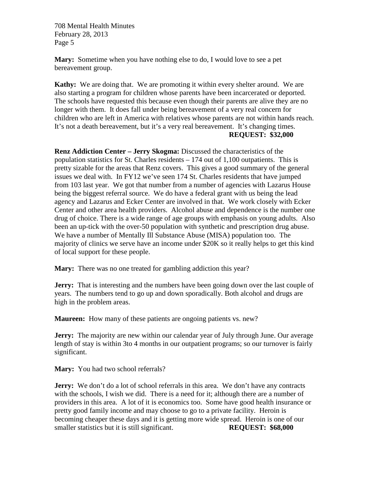**Mary:** Sometime when you have nothing else to do, I would love to see a pet bereavement group.

**Kathy:** We are doing that. We are promoting it within every shelter around. We are also starting a program for children whose parents have been incarcerated or deported. The schools have requested this because even though their parents are alive they are no longer with them. It does fall under being bereavement of a very real concern for children who are left in America with relatives whose parents are not within hands reach. It's not a death bereavement, but it's a very real bereavement. It's changing times. **REQUEST: \$32,000**

**Renz Addiction Center – Jerry Skogma:** Discussed the characteristics of the population statistics for St. Charles residents – 174 out of 1,100 outpatients. This is pretty sizable for the areas that Renz covers. This gives a good summary of the general issues we deal with. In FY12 we've seen 174 St. Charles residents that have jumped from 103 last year. We got that number from a number of agencies with Lazarus House being the biggest referral source. We do have a federal grant with us being the lead agency and Lazarus and Ecker Center are involved in that. We work closely with Ecker Center and other area health providers. Alcohol abuse and dependence is the number one drug of choice. There is a wide range of age groups with emphasis on young adults. Also been an up-tick with the over-50 population with synthetic and prescription drug abuse. We have a number of Mentally Ill Substance Abuse (MISA) population too. The majority of clinics we serve have an income under \$20K so it really helps to get this kind of local support for these people.

**Mary:** There was no one treated for gambling addiction this year?

**Jerry:** That is interesting and the numbers have been going down over the last couple of years. The numbers tend to go up and down sporadically. Both alcohol and drugs are high in the problem areas.

**Maureen:** How many of these patients are ongoing patients vs. new?

**Jerry:** The majority are new within our calendar year of July through June. Our average length of stay is within 3to 4 months in our outpatient programs; so our turnover is fairly significant.

**Mary:** You had two school referrals?

**Jerry:** We don't do a lot of school referrals in this area. We don't have any contracts with the schools, I wish we did. There is a need for it; although there are a number of providers in this area. A lot of it is economics too. Some have good health insurance or pretty good family income and may choose to go to a private facility. Heroin is becoming cheaper these days and it is getting more wide spread. Heroin is one of our smaller statistics but it is still significant. **REQUEST: \$68,000**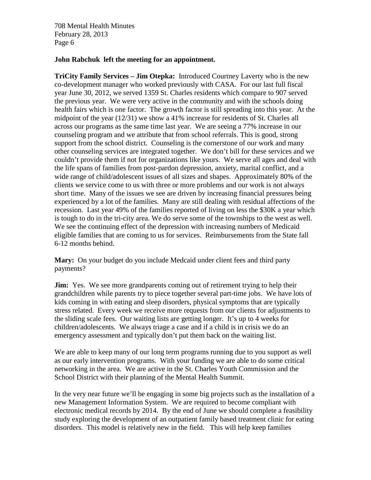#### **John Rabchuk left the meeting for an appointment.**

**TriCity Family Services – Jim Otepka:** Introduced Courtney Laverty who is the new co-development manager who worked previously with CASA. For our last full fiscal year June 30, 2012, we served 1359 St. Charles residents which compare to 907 served the previous year. We were very active in the community and with the schools doing health fairs which is one factor. The growth factor is still spreading into this year. At the midpoint of the year (12/31) we show a 41% increase for residents of St. Charles all across our programs as the same time last year. We are seeing a 77% increase in our counseling program and we attribute that from school referrals. This is good, strong support from the school district. Counseling is the cornerstone of our work and many other counseling services are integrated together. We don't bill for these services and we couldn't provide them if not for organizations like yours. We serve all ages and deal with the life spans of families from post-pardon depression, anxiety, marital conflict, and a wide range of child/adolescent issues of all sizes and shapes. Approximately 80% of the clients we service come to us with three or more problems and our work is not always short time. Many of the issues we see are driven by increasing financial pressures being experienced by a lot of the families. Many are still dealing with residual affections of the recession. Last year 49% of the families reported of living on less the \$30K a year which is tough to do in the tri-city area. We do serve some of the townships to the west as well. We see the continuing effect of the depression with increasing numbers of Medicaid eligible families that are coming to us for services. Reimbursements from the State fall 6-12 months behind.

**Mary:** On your budget do you include Medcaid under client fees and third party payments?

**Jim:** Yes. We see more grandparents coming out of retirement trying to help their grandchildren while parents try to piece together several part-time jobs. We have lots of kids coming in with eating and sleep disorders, physical symptoms that are typically stress related. Every week we receive more requests from our clients for adjustments to the sliding scale fees. Our waiting lists are getting longer. It's up to 4 weeks for children/adolescents. We always triage a case and if a child is in crisis we do an emergency assessment and typically don't put them back on the waiting list.

We are able to keep many of our long term programs running due to you support as well as our early intervention programs. With your funding we are able to do some critical networking in the area. We are active in the St. Charles Youth Commission and the School District with their planning of the Mental Health Summit.

In the very near future we'll be engaging in some big projects such as the installation of a new Management Information System. We are required to become compliant with electronic medical records by 2014. By the end of June we should complete a feasibility study exploring the development of an outpatient family based treatment clinic for eating disorders. This model is relatively new in the field. This will help keep families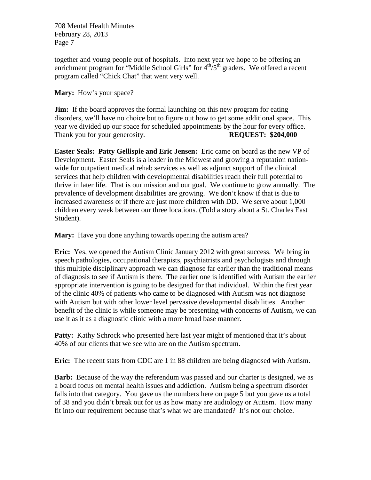together and young people out of hospitals. Into next year we hope to be offering an enrichment program for "Middle School Girls" for  $4<sup>th</sup>/5<sup>th</sup>$  graders. We offered a recent program called "Chick Chat" that went very well.

**Mary:** How's your space?

**Jim:** If the board approves the formal launching on this new program for eating disorders, we'll have no choice but to figure out how to get some additional space. This year we divided up our space for scheduled appointments by the hour for every office. Thank you for your generosity. **REQUEST: \$204,000** 

**Easter Seals: Patty Gellispie and Eric Jensen:** Eric came on board as the new VP of Development. Easter Seals is a leader in the Midwest and growing a reputation nationwide for outpatient medical rehab services as well as adjunct support of the clinical services that help children with developmental disabilities reach their full potential to thrive in later life. That is our mission and our goal. We continue to grow annually. The prevalence of development disabilities are growing. We don't know if that is due to increased awareness or if there are just more children with DD. We serve about 1,000 children every week between our three locations. (Told a story about a St. Charles East Student).

**Mary:** Have you done anything towards opening the autism area?

**Eric:** Yes, we opened the Autism Clinic January 2012 with great success. We bring in speech pathologies, occupational therapists, psychiatrists and psychologists and through this multiple disciplinary approach we can diagnose far earlier than the traditional means of diagnosis to see if Autism is there. The earlier one is identified with Autism the earlier appropriate intervention is going to be designed for that individual. Within the first year of the clinic 40% of patients who came to be diagnosed with Autism was not diagnose with Autism but with other lower level pervasive developmental disabilities. Another benefit of the clinic is while someone may be presenting with concerns of Autism, we can use it as it as a diagnostic clinic with a more broad base manner.

**Patty:** Kathy Schrock who presented here last year might of mentioned that it's about 40% of our clients that we see who are on the Autism spectrum.

**Eric:** The recent stats from CDC are 1 in 88 children are being diagnosed with Autism.

**Barb:** Because of the way the referendum was passed and our charter is designed, we as a board focus on mental health issues and addiction. Autism being a spectrum disorder falls into that category. You gave us the numbers here on page 5 but you gave us a total of 38 and you didn't break out for us as how many are audiology or Autism. How many fit into our requirement because that's what we are mandated? It's not our choice.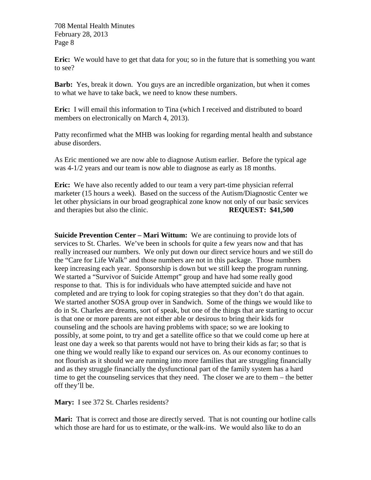**Eric:** We would have to get that data for you; so in the future that is something you want to see?

**Barb:** Yes, break it down. You guys are an incredible organization, but when it comes to what we have to take back, we need to know these numbers.

**Eric:** I will email this information to Tina (which I received and distributed to board members on electronically on March 4, 2013).

Patty reconfirmed what the MHB was looking for regarding mental health and substance abuse disorders.

As Eric mentioned we are now able to diagnose Autism earlier. Before the typical age was 4-1/2 years and our team is now able to diagnose as early as 18 months.

**Eric:** We have also recently added to our team a very part-time physician referral marketer (15 hours a week). Based on the success of the Autism/Diagnostic Center we let other physicians in our broad geographical zone know not only of our basic services and therapies but also the clinic. **REQUEST: \$41,500**

**Suicide Prevention Center – Mari Wittum:** We are continuing to provide lots of services to St. Charles. We've been in schools for quite a few years now and that has really increased our numbers. We only put down our direct service hours and we still do the "Care for Life Walk" and those numbers are not in this package. Those numbers keep increasing each year. Sponsorship is down but we still keep the program running. We started a "Survivor of Suicide Attempt" group and have had some really good response to that. This is for individuals who have attempted suicide and have not completed and are trying to look for coping strategies so that they don't do that again. We started another SOSA group over in Sandwich. Some of the things we would like to do in St. Charles are dreams, sort of speak, but one of the things that are starting to occur is that one or more parents are not either able or desirous to bring their kids for counseling and the schools are having problems with space; so we are looking to possibly, at some point, to try and get a satellite office so that we could come up here at least one day a week so that parents would not have to bring their kids as far; so that is one thing we would really like to expand our services on. As our economy continues to not flourish as it should we are running into more families that are struggling financially and as they struggle financially the dysfunctional part of the family system has a hard time to get the counseling services that they need. The closer we are to them – the better off they'll be.

**Mary:** I see 372 St. Charles residents?

**Mari:** That is correct and those are directly served. That is not counting our hotline calls which those are hard for us to estimate, or the walk-ins. We would also like to do an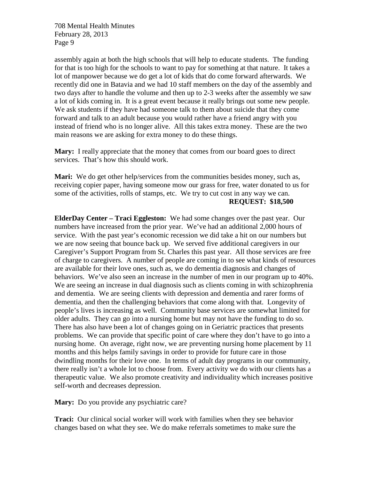assembly again at both the high schools that will help to educate students. The funding for that is too high for the schools to want to pay for something at that nature. It takes a lot of manpower because we do get a lot of kids that do come forward afterwards. We recently did one in Batavia and we had 10 staff members on the day of the assembly and two days after to handle the volume and then up to 2-3 weeks after the assembly we saw a lot of kids coming in. It is a great event because it really brings out some new people. We ask students if they have had someone talk to them about suicide that they come forward and talk to an adult because you would rather have a friend angry with you instead of friend who is no longer alive. All this takes extra money. These are the two main reasons we are asking for extra money to do these things.

**Mary:** I really appreciate that the money that comes from our board goes to direct services. That's how this should work.

**Mari:** We do get other help/services from the communities besides money, such as, receiving copier paper, having someone mow our grass for free, water donated to us for some of the activities, rolls of stamps, etc. We try to cut cost in any way we can. **REQUEST: \$18,500**

**ElderDay Center – Traci Eggleston:** We had some changes over the past year. Our numbers have increased from the prior year. We've had an additional 2,000 hours of service. With the past year's economic recession we did take a hit on our numbers but we are now seeing that bounce back up. We served five additional caregivers in our Caregiver's Support Program from St. Charles this past year. All those services are free of charge to caregivers. A number of people are coming in to see what kinds of resources are available for their love ones, such as, we do dementia diagnosis and changes of behaviors. We've also seen an increase in the number of men in our program up to 40%. We are seeing an increase in dual diagnosis such as clients coming in with schizophrenia and dementia. We are seeing clients with depression and dementia and rarer forms of dementia, and then the challenging behaviors that come along with that. Longevity of people's lives is increasing as well. Community base services are somewhat limited for older adults. They can go into a nursing home but may not have the funding to do so. There has also have been a lot of changes going on in Geriatric practices that presents problems. We can provide that specific point of care where they don't have to go into a nursing home. On average, right now, we are preventing nursing home placement by 11 months and this helps family savings in order to provide for future care in those dwindling months for their love one. In terms of adult day programs in our community, there really isn't a whole lot to choose from. Every activity we do with our clients has a therapeutic value. We also promote creativity and individuality which increases positive self-worth and decreases depression.

**Mary:** Do you provide any psychiatric care?

**Traci:** Our clinical social worker will work with families when they see behavior changes based on what they see. We do make referrals sometimes to make sure the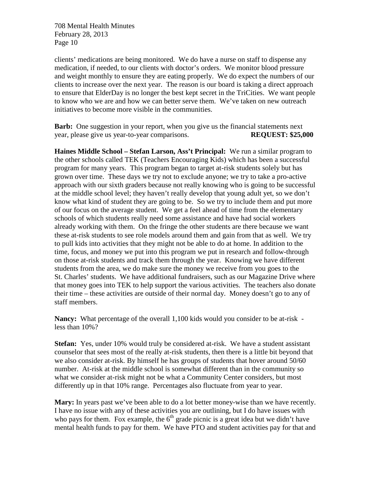clients' medications are being monitored. We do have a nurse on staff to dispense any medication, if needed, to our clients with doctor's orders. We monitor blood pressure and weight monthly to ensure they are eating properly. We do expect the numbers of our clients to increase over the next year. The reason is our board is taking a direct approach to ensure that ElderDay is no longer the best kept secret in the TriCities. We want people to know who we are and how we can better serve them. We've taken on new outreach initiatives to become more visible in the communities.

**Barb:** One suggestion in your report, when you give us the financial statements next year, please give us year-to-year comparisons. **REQUEST: \$25,000**

**Haines Middle School – Stefan Larson, Ass't Principal:** We run a similar program to the other schools called TEK (Teachers Encouraging Kids) which has been a successful program for many years. This program began to target at-risk students solely but has grown over time. These days we try not to exclude anyone; we try to take a pro-active approach with our sixth graders because not really knowing who is going to be successful at the middle school level; they haven't really develop that young adult yet, so we don't know what kind of student they are going to be. So we try to include them and put more of our focus on the average student. We get a feel ahead of time from the elementary schools of which students really need some assistance and have had social workers already working with them. On the fringe the other students are there because we want these at-risk students to see role models around them and gain from that as well. We try to pull kids into activities that they might not be able to do at home. In addition to the time, focus, and money we put into this program we put in research and follow-through on those at-risk students and track them through the year. Knowing we have different students from the area, we do make sure the money we receive from you goes to the St. Charles' students. We have additional fundraisers, such as our Magazine Drive where that money goes into TEK to help support the various activities. The teachers also donate their time – these activities are outside of their normal day. Money doesn't go to any of staff members.

**Nancy:** What percentage of the overall 1,100 kids would you consider to be at-risk less than 10%?

**Stefan:** Yes, under 10% would truly be considered at-risk. We have a student assistant counselor that sees most of the really at-risk students, then there is a little bit beyond that we also consider at-risk. By himself he has groups of students that hover around 50/60 number. At-risk at the middle school is somewhat different than in the community so what we consider at-risk might not be what a Community Center considers, but most differently up in that 10% range. Percentages also fluctuate from year to year.

**Mary:** In years past we've been able to do a lot better money-wise than we have recently. I have no issue with any of these activities you are outlining, but I do have issues with who pays for them. Fox example, the  $6<sup>th</sup>$  grade picnic is a great idea but we didn't have mental health funds to pay for them. We have PTO and student activities pay for that and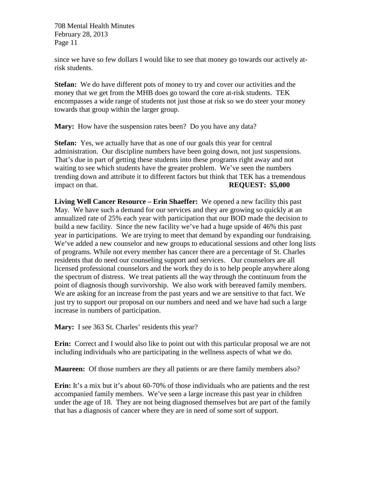since we have so few dollars I would like to see that money go towards our actively atrisk students.

**Stefan:** We do have different pots of money to try and cover our activities and the money that we get from the MHB does go toward the core at-risk students. TEK encompasses a wide range of students not just those at risk so we do steer your money towards that group within the larger group.

**Mary:** How have the suspension rates been? Do you have any data?

**Stefan:** Yes, we actually have that as one of our goals this year for central administration. Our discipline numbers have been going down, not just suspensions. That's due in part of getting these students into these programs right away and not waiting to see which students have the greater problem. We've seen the numbers trending down and attribute it to different factors but think that TEK has a tremendous impact on that. **REQUEST: \$5,000**

**Living Well Cancer Resource – Erin Shaeffer:** We opened a new facility this past May. We have such a demand for our services and they are growing so quickly at an annualized rate of 25% each year with participation that our BOD made the decision to build a new facility. Since the new facility we've had a huge upside of 46% this past year in participations. We are trying to meet that demand by expanding our fundraising. We've added a new counselor and new groups to educational sessions and other long lists of programs. While not every member has cancer there are a percentage of St. Charles residents that do need our counseling support and services. Our counselors are all licensed professional counselors and the work they do is to help people anywhere along the spectrum of distress. We treat patients all the way through the continuum from the point of diagnosis though survivorship. We also work with bereaved family members. We are asking for an increase from the past years and we are sensitive to that fact. We just try to support our proposal on our numbers and need and we have had such a large increase in numbers of participation.

Mary: I see 363 St. Charles' residents this year?

**Erin:** Correct and I would also like to point out with this particular proposal we are not including individuals who are participating in the wellness aspects of what we do.

**Maureen:** Of those numbers are they all patients or are there family members also?

**Erin:** It's a mix but it's about 60-70% of those individuals who are patients and the rest accompanied family members. We've seen a large increase this past year in children under the age of 18. They are not being diagnosed themselves but are part of the family that has a diagnosis of cancer where they are in need of some sort of support.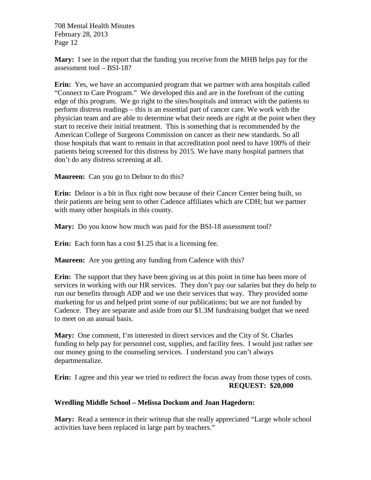**Mary:** I see in the report that the funding you receive from the MHB helps pay for the assessment tool – BSI-18?

**Erin:** Yes, we have an accompanied program that we partner with area hospitals called "Connect to Care Program." We developed this and are in the forefront of the cutting edge of this program. We go right to the sites/hospitals and interact with the patients to perform distress readings – this is an essential part of cancer care. We work with the physician team and are able to determine what their needs are right at the point when they start to receive their initial treatment. This is something that is recommended by the American College of Surgeons Commission on cancer as their new standards. So all those hospitals that want to remain in that accreditation pool need to have 100% of their patients being screened for this distress by 2015. We have many hospital partners that don't do any distress screening at all.

**Maureen:** Can you go to Delnor to do this?

**Erin:** Delnor is a bit in flux right now because of their Cancer Center being built, so their patients are being sent to other Cadence affiliates which are CDH; but we partner with many other hospitals in this county.

**Mary:** Do you know how much was paid for the BSI-18 assessment tool?

**Erin:** Each form has a cost \$1.25 that is a licensing fee.

**Maureen:** Are you getting any funding from Cadence with this?

**Erin:** The support that they have been giving us at this point in time has been more of services in working with our HR services. They don't pay our salaries but they do help to run our benefits through ADP and we use their services that way. They provided some marketing for us and helped print some of our publications; but we are not funded by Cadence. They are separate and aside from our \$1.3M fundraising budget that we need to meet on an annual basis.

**Mary:** One comment, I'm interested in direct services and the City of St. Charles funding to help pay for personnel cost, supplies, and facility fees. I would just rather see our money going to the counseling services. I understand you can't always departmentalize.

**Erin:** I agree and this year we tried to redirect the focus away from those types of costs. **REQUEST: \$20,000**

### **Wredling Middle School – Melissa Dockum and Joan Hagedorn:**

**Mary:** Read a sentence in their writeup that she really appreciated "Large whole school activities have been replaced in large part by teachers."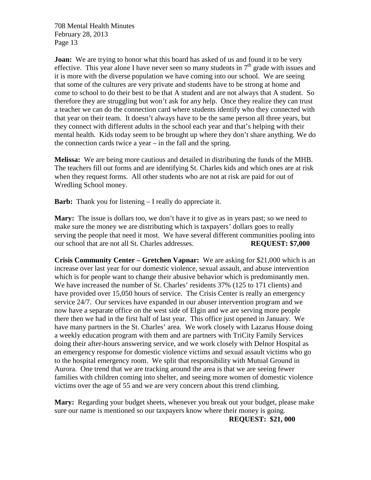**Joan:** We are trying to honor what this board has asked of us and found it to be very effective. This year alone I have never seen so many students in  $7<sup>th</sup>$  grade with issues and it is more with the diverse population we have coming into our school. We are seeing that some of the cultures are very private and students have to be strong at home and come to school to do their best to be that A student and are not always that A student. So therefore they are struggling but won't ask for any help. Once they realize they can trust a teacher we can do the connection card where students identify who they connected with that year on their team. It doesn't always have to be the same person all three years, but they connect with different adults in the school each year and that's helping with their mental health. Kids today seem to be brought up where they don't share anything. We do the connection cards twice a year – in the fall and the spring.

**Melissa:** We are being more cautious and detailed in distributing the funds of the MHB. The teachers fill out forms and are identifying St. Charles kids and which ones are at risk when they request forms. All other students who are not at risk are paid for out of Wredling School money.

**Barb:** Thank you for listening – I really do appreciate it.

**Mary:** The issue is dollars too, we don't have it to give as in years past; so we need to make sure the money we are distributing which is taxpayers' dollars goes to really serving the people that need it most. We have several different communities pooling into our school that are not all St. Charles addresses. **REQUEST: \$7,000**

**Crisis Community Center – Gretchen Vapnar:** We are asking for \$21,000 which is an increase over last year for our domestic violence, sexual assault, and abuse intervention which is for people want to change their abusive behavior which is predominantly men. We have increased the number of St. Charles' residents 37% (125 to 171 clients) and have provided over 15,050 hours of service. The Crisis Center is really an emergency service 24/7. Our services have expanded in our abuser intervention program and we now have a separate office on the west side of Elgin and we are serving more people there then we had in the first half of last year. This office just opened in January. We have many partners in the St. Charles' area. We work closely with Lazarus House doing a weekly education program with them and are partners with TriCity Family Services doing their after-hours answering service, and we work closely with Delnor Hospital as an emergency response for domestic violence victims and sexual assault victims who go to the hospital emergency room. We split that responsibility with Mutual Ground in Aurora. One trend that we are tracking around the area is that we are seeing fewer families with children coming into shelter, and seeing more women of domestic violence victims over the age of 55 and we are very concern about this trend climbing.

**Mary:** Regarding your budget sheets, whenever you break out your budget, please make sure our name is mentioned so our taxpayers know where their money is going.

**REQUEST: \$21, 000**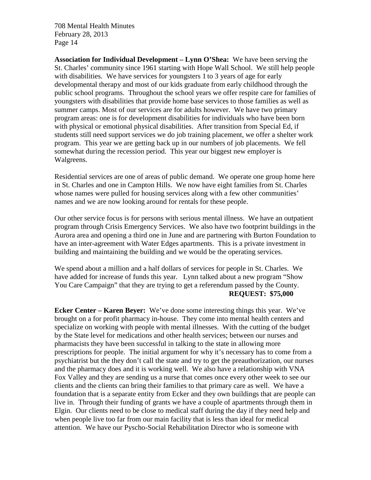**Association for Individual Development – Lynn O'Shea:** We have been serving the St. Charles' community since 1961 starting with Hope Wall School. We still help people with disabilities. We have services for youngsters 1 to 3 years of age for early developmental therapy and most of our kids graduate from early childhood through the public school programs. Throughout the school years we offer respite care for families of youngsters with disabilities that provide home base services to those families as well as summer camps. Most of our services are for adults however. We have two primary program areas: one is for development disabilities for individuals who have been born with physical or emotional physical disabilities. After transition from Special Ed, if students still need support services we do job training placement, we offer a shelter work program. This year we are getting back up in our numbers of job placements. We fell somewhat during the recession period. This year our biggest new employer is Walgreens.

Residential services are one of areas of public demand. We operate one group home here in St. Charles and one in Campton Hills. We now have eight families from St. Charles whose names were pulled for housing services along with a few other communities' names and we are now looking around for rentals for these people.

Our other service focus is for persons with serious mental illness. We have an outpatient program through Crisis Emergency Services. We also have two footprint buildings in the Aurora area and opening a third one in June and are partnering with Burton Foundation to have an inter-agreement with Water Edges apartments. This is a private investment in building and maintaining the building and we would be the operating services.

We spend about a million and a half dollars of services for people in St. Charles. We have added for increase of funds this year. Lynn talked about a new program "Show You Care Campaign" that they are trying to get a referendum passed by the County. **REQUEST: \$75,000**

**Ecker Center – Karen Beyer:** We've done some interesting things this year. We've brought on a for profit pharmacy in-house. They come into mental health centers and specialize on working with people with mental illnesses. With the cutting of the budget by the State level for medications and other health services; between our nurses and pharmacists they have been successful in talking to the state in allowing more prescriptions for people. The initial argument for why it's necessary has to come from a psychiatrist but the they don't call the state and try to get the preauthorization, our nurses and the pharmacy does and it is working well. We also have a relationship with VNA Fox Valley and they are sending us a nurse that comes once every other week to see our clients and the clients can bring their families to that primary care as well. We have a foundation that is a separate entity from Ecker and they own buildings that are people can live in. Through their funding of grants we have a couple of apartments through them in Elgin. Our clients need to be close to medical staff during the day if they need help and when people live too far from our main facility that is less than ideal for medical attention. We have our Pyscho-Social Rehabilitation Director who is someone with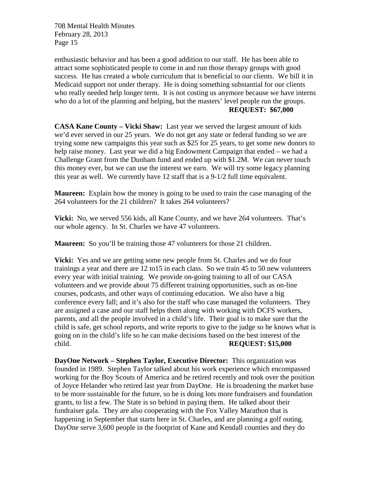enthusiastic behavior and has been a good addition to our staff. He has been able to attract some sophisticated people to come in and run those therapy groups with good success. He has created a whole curriculum that is beneficial to our clients. We bill it in Medicaid support not under therapy. He is doing something substantial for our clients who really needed help longer term. It is not costing us anymore because we have interns who do a lot of the planning and helping, but the masters' level people run the groups. **REQUEST: \$67,000**

**CASA Kane County – Vicki Shaw:** Last year we served the largest amount of kids we'd ever served in our 25 years. We do not get any state or federal funding so we are trying some new campaigns this year such as \$25 for 25 years, to get some new donors to help raise money. Last year we did a big Endowment Campaign that ended – we had a Challenge Grant from the Dunham fund and ended up with \$1.2M. We can never touch this money ever, but we can use the interest we earn. We will try some legacy planning this year as well. We currently have 12 staff that is a 9-1/2 full time equivalent.

**Maureen:** Explain how the money is going to be used to train the case managing of the 264 volunteers for the 21 children? It takes 264 volunteers?

**Vicki:** No, we served 556 kids, all Kane County, and we have 264 volunteers. That's our whole agency. In St. Charles we have 47 volunteers.

**Maureen:** So you'll be training those 47 volunteers for those 21 children.

**Vicki:** Yes and we are getting some new people from St. Charles and we do four trainings a year and there are 12 to15 in each class. So we train 45 to 50 new volunteers every year with initial training. We provide on-going training to all of our CASA volunteers and we provide about 75 different training opportunities, such as on-line courses, podcasts, and other ways of continuing education. We also have a big conference every fall; and it's also for the staff who case managed the volunteers. They are assigned a case and our staff helps them along with working with DCFS workers, parents, and all the people involved in a child's life. Their goal is to make sure that the child is safe, get school reports, and write reports to give to the judge so he knows what is going on in the child's life so he can make decisions based on the best interest of the child. **REQUEST: \$15,000**

**DayOne Network – Stephen Taylor, Executive Director:** This organization was founded in 1989. Stephen Taylor talked about his work experience which encompassed working for the Boy Scouts of America and he retired recently and took over the position of Joyce Helander who retired last year from DayOne. He is broadening the market base to be more sustainable for the future, so he is doing lots more fundraisers and foundation grants, to list a few. The State is so behind in paying them. He talked about their fundraiser gala. They are also cooperating with the Fox Valley Marathon that is happening in September that starts here in St. Charles, and are planning a golf outing. DayOne serve 3,600 people in the footprint of Kane and Kendall counties and they do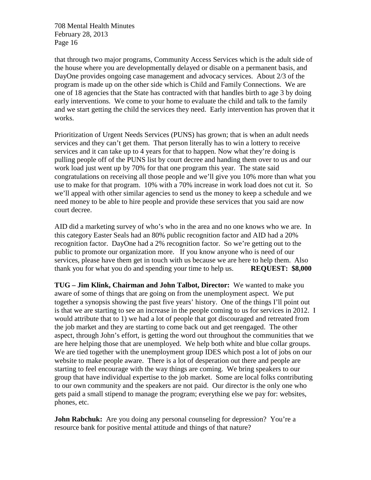that through two major programs, Community Access Services which is the adult side of the house where you are developmentally delayed or disable on a permanent basis, and DayOne provides ongoing case management and advocacy services. About 2/3 of the program is made up on the other side which is Child and Family Connections. We are one of 18 agencies that the State has contracted with that handles birth to age 3 by doing early interventions. We come to your home to evaluate the child and talk to the family and we start getting the child the services they need. Early intervention has proven that it works.

Prioritization of Urgent Needs Services (PUNS) has grown; that is when an adult needs services and they can't get them. That person literally has to win a lottery to receive services and it can take up to 4 years for that to happen. Now what they're doing is pulling people off of the PUNS list by court decree and handing them over to us and our work load just went up by 70% for that one program this year. The state said congratulations on receiving all those people and we'll give you 10% more than what you use to make for that program. 10% with a 70% increase in work load does not cut it. So we'll appeal with other similar agencies to send us the money to keep a schedule and we need money to be able to hire people and provide these services that you said are now court decree.

AID did a marketing survey of who's who in the area and no one knows who we are. In this category Easter Seals had an 80% public recognition factor and AID had a 20% recognition factor. DayOne had a 2% recognition factor. So we're getting out to the public to promote our organization more. If you know anyone who is need of our services, please have them get in touch with us because we are here to help them. Also thank you for what you do and spending your time to help us. **REQUEST: \$8,000**

**TUG – Jim Klink, Chairman and John Talbot, Director:** We wanted to make you aware of some of things that are going on from the unemployment aspect. We put together a synopsis showing the past five years' history. One of the things I'll point out is that we are starting to see an increase in the people coming to us for services in 2012. I would attribute that to 1) we had a lot of people that got discouraged and retreated from the job market and they are starting to come back out and get reengaged. The other aspect, through John's effort, is getting the word out throughout the communities that we are here helping those that are unemployed. We help both white and blue collar groups. We are tied together with the unemployment group IDES which post a lot of jobs on our website to make people aware. There is a lot of desperation out there and people are starting to feel encourage with the way things are coming. We bring speakers to our group that have individual expertise to the job market. Some are local folks contributing to our own community and the speakers are not paid. Our director is the only one who gets paid a small stipend to manage the program; everything else we pay for: websites, phones, etc.

**John Rabchuk:** Are you doing any personal counseling for depression? You're a resource bank for positive mental attitude and things of that nature?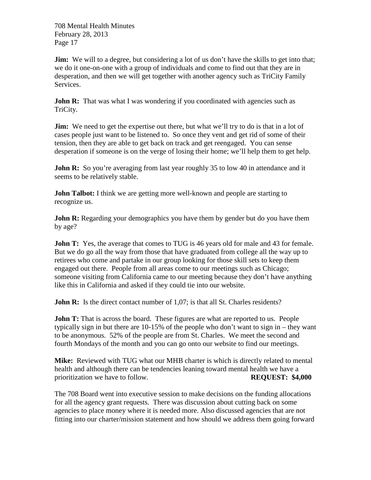**Jim:** We will to a degree, but considering a lot of us don't have the skills to get into that; we do it one-on-one with a group of individuals and come to find out that they are in desperation, and then we will get together with another agency such as TriCity Family Services.

**John R:** That was what I was wondering if you coordinated with agencies such as TriCity.

**Jim:** We need to get the expertise out there, but what we'll try to do is that in a lot of cases people just want to be listened to. So once they vent and get rid of some of their tension, then they are able to get back on track and get reengaged. You can sense desperation if someone is on the verge of losing their home; we'll help them to get help.

**John R:** So you're averaging from last year roughly 35 to low 40 in attendance and it seems to be relatively stable.

**John Talbot:** I think we are getting more well-known and people are starting to recognize us.

**John R:** Regarding your demographics you have them by gender but do you have them by age?

**John T:** Yes, the average that comes to TUG is 46 years old for male and 43 for female. But we do go all the way from those that have graduated from college all the way up to retirees who come and partake in our group looking for those skill sets to keep them engaged out there. People from all areas come to our meetings such as Chicago; someone visiting from California came to our meeting because they don't have anything like this in California and asked if they could tie into our website.

**John R:** Is the direct contact number of 1,07; is that all St. Charles residents?

**John T:** That is across the board. These figures are what are reported to us. People typically sign in but there are 10-15% of the people who don't want to sign in – they want to be anonymous. 52% of the people are from St. Charles. We meet the second and fourth Mondays of the month and you can go onto our website to find our meetings.

**Mike:** Reviewed with TUG what our MHB charter is which is directly related to mental health and although there can be tendencies leaning toward mental health we have a prioritization we have to follow. **REQUEST: \$4,000**

The 708 Board went into executive session to make decisions on the funding allocations for all the agency grant requests. There was discussion about cutting back on some agencies to place money where it is needed more. Also discussed agencies that are not fitting into our charter/mission statement and how should we address them going forward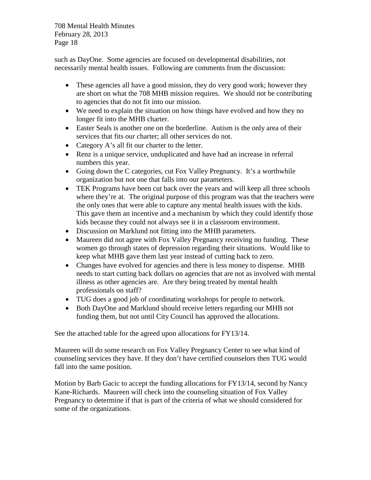such as DayOne. Some agencies are focused on developmental disabilities, not necessarily mental health issues. Following are comments from the discussion:

- These agencies all have a good mission, they do very good work; however they are short on what the 708 MHB mission requires. We should not be contributing to agencies that do not fit into our mission.
- We need to explain the situation on how things have evolved and how they no longer fit into the MHB charter.
- Easter Seals is another one on the borderline. Autism is the only area of their services that fits our charter; all other services do not.
- Category A's all fit our charter to the letter.
- Renz is a unique service, unduplicated and have had an increase in referral numbers this year.
- Going down the C categories, cut Fox Valley Pregnancy. It's a worthwhile organization but not one that falls into our parameters.
- TEK Programs have been cut back over the years and will keep all three schools where they're at. The original purpose of this program was that the teachers were the only ones that were able to capture any mental health issues with the kids. This gave them an incentive and a mechanism by which they could identify those kids because they could not always see it in a classroom environment.
- Discussion on Marklund not fitting into the MHB parameters.
- Maureen did not agree with Fox Valley Pregnancy receiving no funding. These women go through states of depression regarding their situations. Would like to keep what MHB gave them last year instead of cutting back to zero.
- Changes have evolved for agencies and there is less money to dispense. MHB needs to start cutting back dollars on agencies that are not as involved with mental illness as other agencies are. Are they being treated by mental health professionals on staff?
- TUG does a good job of coordinating workshops for people to network.
- Both DayOne and Marklund should receive letters regarding our MHB not funding them, but not until City Council has approved the allocations.

See the attached table for the agreed upon allocations for FY13/14.

Maureen will do some research on Fox Valley Pregnancy Center to see what kind of counseling services they have. If they don't have certified counselors then TUG would fall into the same position.

Motion by Barb Gacic to accept the funding allocations for FY13/14, second by Nancy Kane-Richards. Maureen will check into the counseling situation of Fox Valley Pregnancy to determine if that is part of the criteria of what we should considered for some of the organizations.